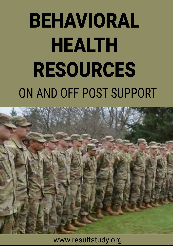# ON AND OFF POST SUPPORT BEHAVIORAL HEALTH RESOURCES



www.resultstudy.org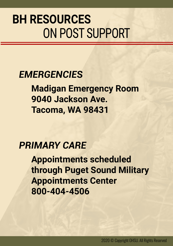### ON POST SUPPORT **BH RESOURCES**

### *EMERGENCIES*

**Madigan Emergency Room 9040 Jackson Ave. Tacoma, WA 98431**

### *PRIMARY CARE*

**Appointments scheduled through Puget Sound Military Appointments Center 800-404-4506**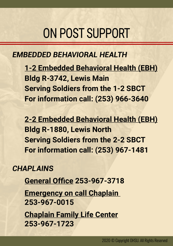### ON POST SUPPORT

#### *EMBEDDED BEHAVIORAL HEALTH*

**1-2 Embedded Behavioral Health (EBH) Bldg R-3742, Lewis Main Serving Soldiers from the 1-2 SBCT For information call: (253) 966-3640**

**2-2 Embedded Behavioral Health (EBH) Bldg R-1880, Lewis North Serving Soldiers from the 2-2 SBCT For information call: (253) 967-1481**

#### *CHAPLAINS*

**General Office 253-967-3718** 

**Emergency on call Chaplain 253-967-0015**

**Chaplain Family Life Center 253-967-1723**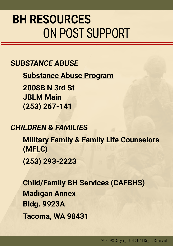### ON POST SUPPORT **BH RESOURCES**

#### *SUBSTANCE ABUSE*

**Substance Abuse Program**

**2008B N 3rd St JBLM Main (253) 267-141**

#### *CHILDREN & FAMILIES*

**Military Family & Family Life Counselors (MFLC)**

**(253) 293-2223**

**Child/Family BH Services (CAFBHS) Madigan Annex Bldg. 9923A Tacoma, WA 98431**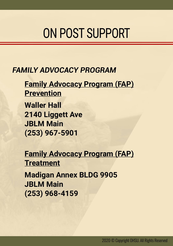### ON POST SUPPORT

#### *FAMILY ADVOCACY PROGRAM*

**Family Advocacy Program (FAP) Prevention Waller Hall 2140 Liggett Ave JBLM Main (253) 967-5901**

**Family Advocacy Program (FAP) Treatment**

**Madigan Annex BLDG 9905 JBLM Main (253) 968-4159**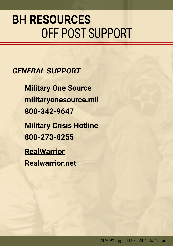### OFF POST SUPPORT **BH RESOURCES**

*GENERAL SUPPORT*

**Military One Source militaryonesource.mil 800-342-9647 Military Crisis Hotline 800-273-8255**

**RealWarrior Realwarrior.net**

2020 © Copyright OHSU. All Rights Reserved